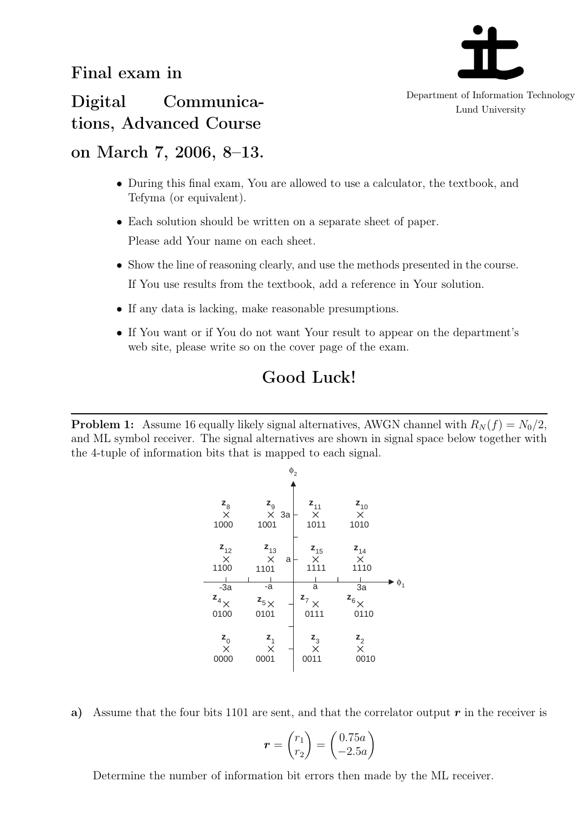

Department of Information Technology Lund University

Digital Communications, Advanced Course

## on March 7, 2006, 8–13.

- During this final exam, You are allowed to use a calculator, the textbook, and Tefyma (or equivalent).
- *•* Each solution should be written on a separate sheet of paper. Please add Your name on each sheet.
- Show the line of reasoning clearly, and use the methods presented in the course. If You use results from the textbook, add a reference in Your solution.
- If any data is lacking, make reasonable presumptions.
- If You want or if You do not want Your result to appear on the department's web site, please write so on the cover page of the exam.

## Good Luck!

**Problem 1:** Assume 16 equally likely signal alternatives, AWGN channel with  $R_N(f) = N_0/2$ , and ML symbol receiver. The signal alternatives are shown in signal space below together with the 4-tuple of information bits that is mapped to each signal.



a) Assume that the four bits 1101 are sent, and that the correlator output *r* in the receiver is

$$
\boldsymbol{r} = \begin{pmatrix} r_1 \\ r_2 \end{pmatrix} = \begin{pmatrix} 0.75a \\ -2.5a \end{pmatrix}
$$

Determine the number of information bit errors then made by the ML receiver.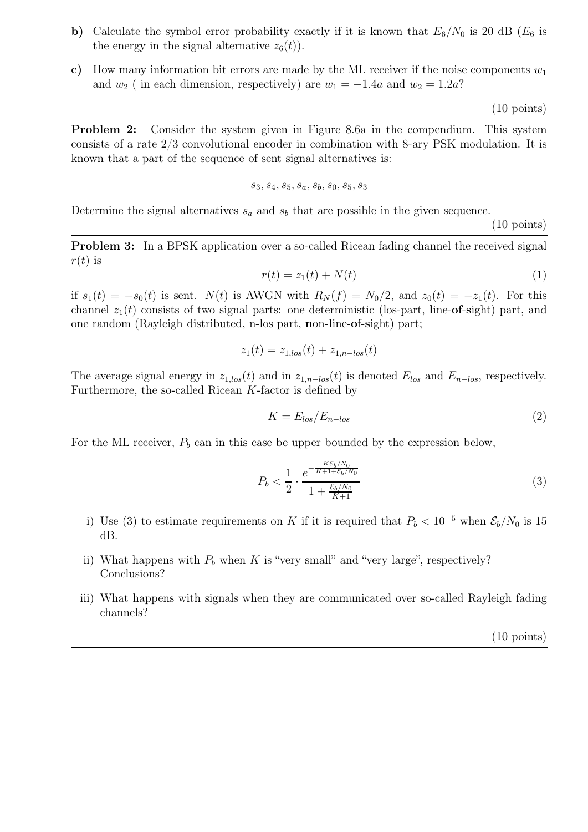- b) Calculate the symbol error probability exactly if it is known that  $E_6/N_0$  is 20 dB ( $E_6$  is the energy in the signal alternative  $z_6(t)$ ).
- c) How many information bit errors are made by the ML receiver if the noise components  $w_1$ and  $w_2$  ( in each dimension, respectively) are  $w_1 = -1.4a$  and  $w_2 = 1.2a$ ?

(10 points)

Problem 2: Consider the system given in Figure 8.6a in the compendium. This system consists of a rate 2/3 convolutional encoder in combination with 8-ary PSK modulation. It is known that a part of the sequence of sent signal alternatives is:

$$
s_3, s_4, s_5, s_a, s_b, s_0, s_5, s_3
$$

Determine the signal alternatives  $s_a$  and  $s_b$  that are possible in the given sequence.

(10 points)

Problem 3: In a BPSK application over a so-called Ricean fading channel the received signal  $r(t)$  is

$$
r(t) = z_1(t) + N(t)
$$
 (1)

if  $s_1(t) = -s_0(t)$  is sent.  $N(t)$  is AWGN with  $R_N(f) = N_0/2$ , and  $z_0(t) = -z_1(t)$ . For this channel  $z_1(t)$  consists of two signal parts: one deterministic (los-part, line-of-sight) part, and one random (Rayleigh distributed, n-los part, non-line-of-sight) part;

$$
z_1(t) = z_{1,los}(t) + z_{1, n - los}(t)
$$

The average signal energy in  $z_{1,los}(t)$  and in  $z_{1,n-los}(t)$  is denoted  $E_{los}$  and  $E_{n-los}$ , respectively. Furthermore, the so-called Ricean *K*-factor is defined by

$$
K = E_{los}/E_{n-los}
$$
 (2)

For the ML receiver,  $P_b$  can in this case be upper bounded by the expression below,

$$
P_b < \frac{1}{2} \cdot \frac{e^{-\frac{KE_b/N_0}{K+1 + \mathcal{E}_b/N_0}}}{1 + \frac{\mathcal{E}_b/N_0}{K+1}}
$$
\n(3)

- i) Use (3) to estimate requirements on *K* if it is required that  $P_b < 10^{-5}$  when  $\mathcal{E}_b/N_0$  is 15 dB.
- ii) What happens with  $P_b$  when  $K$  is "very small" and "very large", respectively? Conclusions?
- iii) What happens with signals when they are communicated over so-called Rayleigh fading channels?

(10 points)